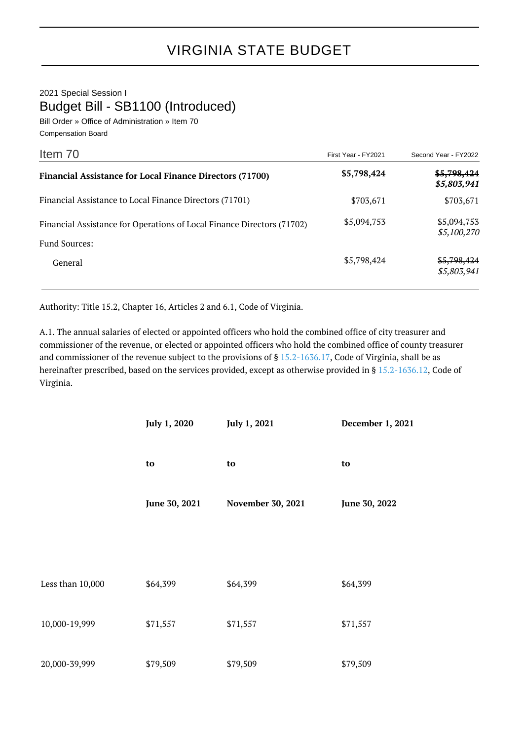2021 Special Session I Budget Bill - SB1100 (Introduced)

Bill Order » Office of Administration » Item 70 Compensation Board

| Item 70                                                                | First Year - FY2021 | Second Year - FY2022       |
|------------------------------------------------------------------------|---------------------|----------------------------|
| <b>Financial Assistance for Local Finance Directors (71700)</b>        | \$5,798,424         | \$5,798,424<br>\$5,803,941 |
| Financial Assistance to Local Finance Directors (71701)                | \$703,671           | \$703,671                  |
| Financial Assistance for Operations of Local Finance Directors (71702) | \$5,094,753         | \$5,094,753<br>\$5,100,270 |
| <b>Fund Sources:</b><br>General                                        | \$5,798,424         | \$5,798,424<br>\$5,803,941 |

Authority: Title 15.2, Chapter 16, Articles 2 and 6.1, Code of Virginia.

A.1. The annual salaries of elected or appointed officers who hold the combined office of city treasurer and commissioner of the revenue, or elected or appointed officers who hold the combined office of county treasurer and commissioner of the revenue subject to the provisions of § [15.2-1636.17](http://law.lis.virginia.gov/vacode/15.2-1636.17/), Code of Virginia, shall be as hereinafter prescribed, based on the services provided, except as otherwise provided in § [15.2-1636.12,](http://law.lis.virginia.gov/vacode/15.2-1636.12/) Code of Virginia.

|                  | July 1, 2020  | July 1, 2021      | December 1, 2021 |
|------------------|---------------|-------------------|------------------|
|                  | to            | to                | to               |
|                  | June 30, 2021 | November 30, 2021 | June 30, 2022    |
|                  |               |                   |                  |
| Less than 10,000 | \$64,399      | \$64,399          | \$64,399         |
| 10,000-19,999    | \$71,557      | \$71,557          | \$71,557         |
| 20,000-39,999    | \$79,509      | \$79,509          | \$79,509         |